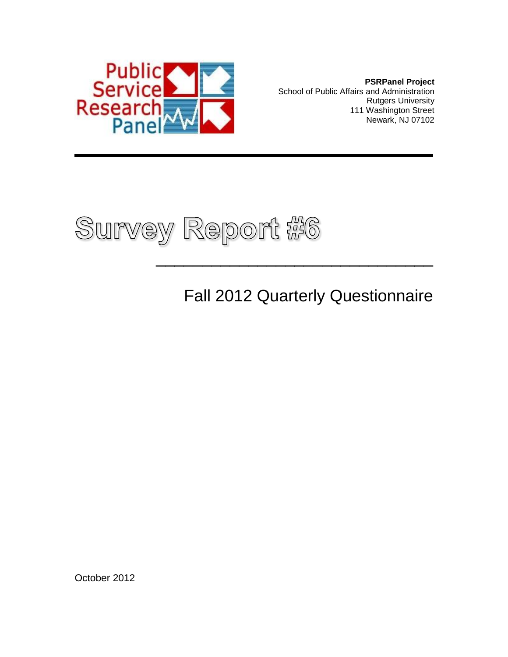

**PSRPanel Project** School of Public Affairs and Administration Rutgers University 111 Washington Street Newark, NJ 07102



Fall 2012 Quarterly Questionnaire

 $\frac{1}{2}$  , and the set of the set of the set of the set of the set of the set of the set of the set of the set of the set of the set of the set of the set of the set of the set of the set of the set of the set of the set

October 2012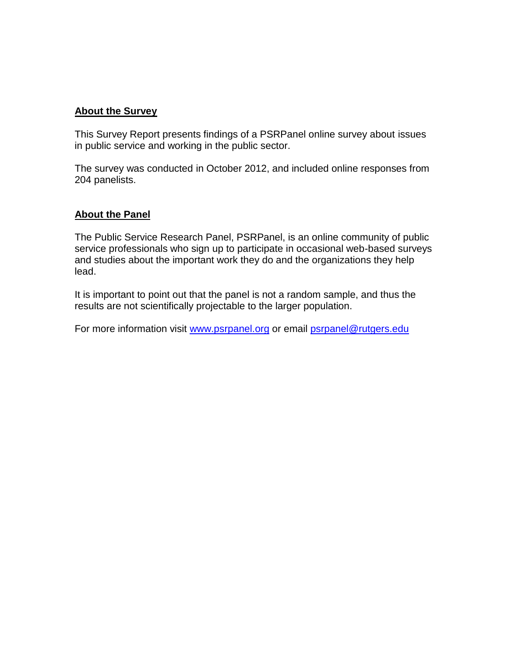#### **About the Survey**

This Survey Report presents findings of a PSRPanel online survey about issues in public service and working in the public sector.

The survey was conducted in October 2012, and included online responses from 204 panelists.

#### **About the Panel**

The Public Service Research Panel, PSRPanel, is an online community of public service professionals who sign up to participate in occasional web-based surveys and studies about the important work they do and the organizations they help lead.

It is important to point out that the panel is not a random sample, and thus the results are not scientifically projectable to the larger population.

For more information visit [www.psrpanel.org](http://www.psrpanel.org/) or email [psrpanel@rutgers.edu](mailto:psrpanel@rutgers.edu)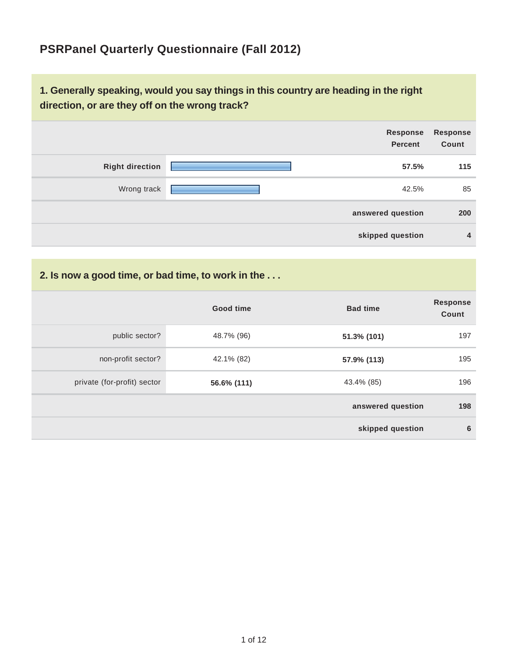### **PSRPanel Quarterly Questionnaire (Fall 2012)**

#### **1. Generally speaking, would you say things in this country are heading in the right direction, or are they off on the wrong track?**



#### **2. Is now a good time, or bad time, to work in the . . .**

|                             | <b>Good time</b> | <b>Bad time</b>   | <b>Response</b><br>Count |
|-----------------------------|------------------|-------------------|--------------------------|
| public sector?              | 48.7% (96)       | 51.3% (101)       | 197                      |
| non-profit sector?          | 42.1% (82)       | 57.9% (113)       | 195                      |
| private (for-profit) sector | 56.6% (111)      | 43.4% (85)        | 196                      |
|                             |                  | answered question | 198                      |
|                             |                  | skipped question  | 6                        |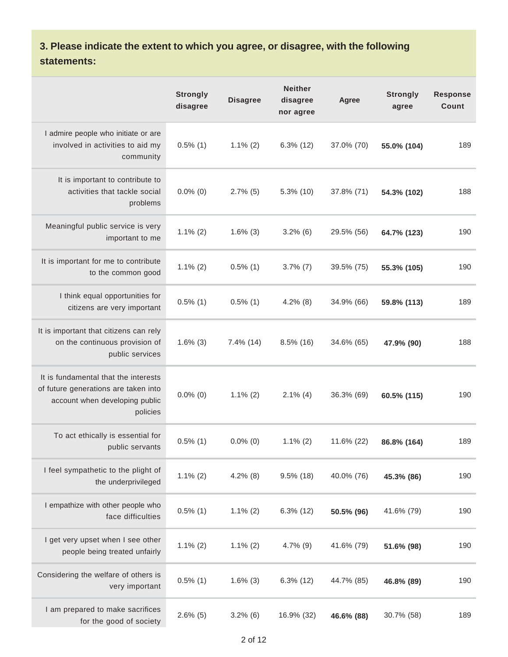### **3. Please indicate the extent to which you agree, or disagree, with the following statements:**

|                                                                                                                            | <b>Strongly</b><br>disagree | <b>Disagree</b> | <b>Neither</b><br>disagree<br>nor agree | Agree      | <b>Strongly</b><br>agree | <b>Response</b><br>Count |
|----------------------------------------------------------------------------------------------------------------------------|-----------------------------|-----------------|-----------------------------------------|------------|--------------------------|--------------------------|
| I admire people who initiate or are<br>involved in activities to aid my<br>community                                       | $0.5\%$ (1)                 | $1.1\%$ (2)     | $6.3\%$ (12)                            | 37.0% (70) | 55.0% (104)              | 189                      |
| It is important to contribute to<br>activities that tackle social<br>problems                                              | $0.0\%$ (0)                 | $2.7\%$ (5)     | 5.3% (10)                               | 37.8% (71) | 54.3% (102)              | 188                      |
| Meaningful public service is very<br>important to me                                                                       | $1.1\%$ (2)                 | $1.6\%$ (3)     | $3.2\%$ (6)                             | 29.5% (56) | 64.7% (123)              | 190                      |
| It is important for me to contribute<br>to the common good                                                                 | $1.1\%$ (2)                 | $0.5\%$ (1)     | $3.7\%$ (7)                             | 39.5% (75) | 55.3% (105)              | 190                      |
| I think equal opportunities for<br>citizens are very important                                                             | $0.5\%$ (1)                 | $0.5\%$ (1)     | $4.2\%$ (8)                             | 34.9% (66) | 59.8% (113)              | 189                      |
| It is important that citizens can rely<br>on the continuous provision of<br>public services                                | $1.6\%$ (3)                 | 7.4% (14)       | $8.5\%$ (16)                            | 34.6% (65) | 47.9% (90)               | 188                      |
| It is fundamental that the interests<br>of future generations are taken into<br>account when developing public<br>policies | $0.0\%$ (0)                 | $1.1\%$ (2)     | $2.1\%$ (4)                             | 36.3% (69) | 60.5% (115)              | 190                      |
| To act ethically is essential for<br>public servants                                                                       | $0.5\%$ (1)                 | $0.0\%$ (0)     | $1.1\%$ (2)                             | 11.6% (22) | 86.8% (164)              | 189                      |
| I feel sympathetic to the plight of<br>the underprivileged                                                                 | $1.1\%$ (2)                 | $4.2\%$ (8)     | $9.5\%$ (18)                            | 40.0% (76) | 45.3% (86)               | 190                      |
| I empathize with other people who<br>face difficulties                                                                     | $0.5\%$ (1)                 | $1.1\%$ (2)     | $6.3\%$ (12)                            | 50.5% (96) | 41.6% (79)               | 190                      |
| I get very upset when I see other<br>people being treated unfairly                                                         | $1.1\%$ (2)                 | $1.1\%$ (2)     | $4.7\%$ (9)                             | 41.6% (79) | 51.6% (98)               | 190                      |
| Considering the welfare of others is<br>very important                                                                     | $0.5\%$ (1)                 | $1.6\%$ (3)     | $6.3\%$ (12)                            | 44.7% (85) | 46.8% (89)               | 190                      |
| I am prepared to make sacrifices<br>for the good of society                                                                | $2.6\%$ (5)                 | $3.2\%$ (6)     | 16.9% (32)                              | 46.6% (88) | 30.7% (58)               | 189                      |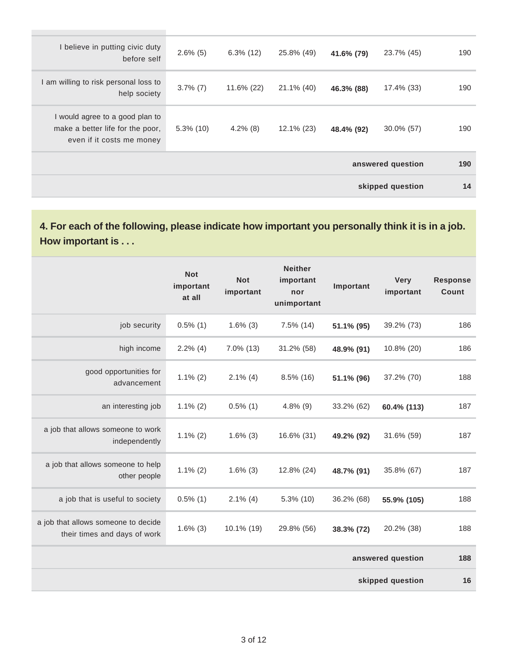| I believe in putting civic duty<br>before self                                                   | $2.6\%$ (5)  | $6.3\%$ (12) | 25.8% (49) | 41.6% (79) | 23.7% (45)        | 190 |
|--------------------------------------------------------------------------------------------------|--------------|--------------|------------|------------|-------------------|-----|
| I am willing to risk personal loss to<br>help society                                            | $3.7\%$ (7)  | 11.6% (22)   | 21.1% (40) | 46.3% (88) | 17.4% (33)        | 190 |
| I would agree to a good plan to<br>make a better life for the poor,<br>even if it costs me money | $5.3\%$ (10) | $4.2\%$ (8)  | 12.1% (23) | 48.4% (92) | $30.0\%$ (57)     | 190 |
|                                                                                                  |              |              |            |            | answered question | 190 |
|                                                                                                  |              |              |            |            | skipped question  | 14  |

**4. For each of the following, please indicate how important you personally think it is in a job. How important is . . .**

|                                                                     | <b>Not</b><br>important<br>at all | <b>Not</b><br>important | <b>Neither</b><br>important<br>nor<br>unimportant | Important  | <b>Very</b><br>important | <b>Response</b><br>Count |
|---------------------------------------------------------------------|-----------------------------------|-------------------------|---------------------------------------------------|------------|--------------------------|--------------------------|
| job security                                                        | $0.5\%$ (1)                       | $1.6\%$ (3)             | $7.5\%$ (14)                                      | 51.1% (95) | 39.2% (73)               | 186                      |
| high income                                                         | $2.2\%$ (4)                       | $7.0\%$ (13)            | 31.2% (58)                                        | 48.9% (91) | 10.8% (20)               | 186                      |
| good opportunities for<br>advancement                               | $1.1\%$ (2)                       | $2.1\%$ (4)             | $8.5\%$ (16)                                      | 51.1% (96) | 37.2% (70)               | 188                      |
| an interesting job                                                  | $1.1\%$ (2)                       | $0.5\%$ (1)             | $4.8\%$ (9)                                       | 33.2% (62) | 60.4% (113)              | 187                      |
| a job that allows someone to work<br>independently                  | $1.1\%$ (2)                       | $1.6\%$ (3)             | 16.6% (31)                                        | 49.2% (92) | 31.6% (59)               | 187                      |
| a job that allows someone to help<br>other people                   | $1.1\%$ (2)                       | $1.6\%$ (3)             | 12.8% (24)                                        | 48.7% (91) | 35.8% (67)               | 187                      |
| a job that is useful to society                                     | $0.5\%$ (1)                       | $2.1\%$ (4)             | $5.3\%$ (10)                                      | 36.2% (68) | 55.9% (105)              | 188                      |
| a job that allows someone to decide<br>their times and days of work | $1.6\%$ (3)                       | 10.1% (19)              | 29.8% (56)                                        | 38.3% (72) | 20.2% (38)               | 188                      |
|                                                                     |                                   |                         |                                                   |            | answered question        | 188                      |
|                                                                     |                                   |                         |                                                   |            | skipped question         | 16                       |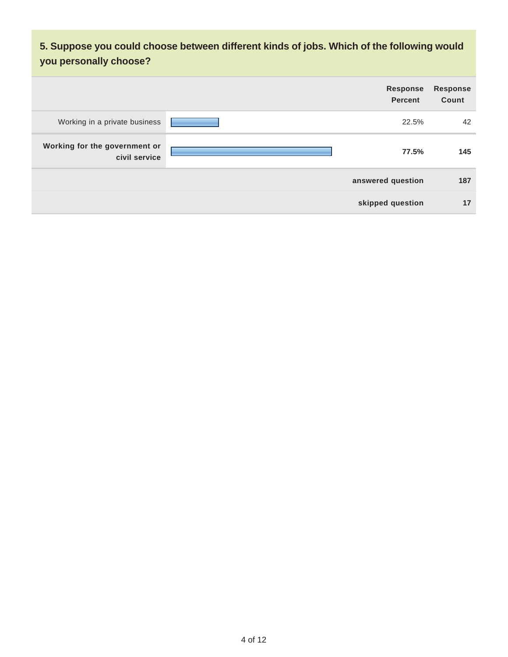**5. Suppose you could choose between different kinds of jobs. Which of the following would you personally choose?**

|                                                | <b>Response</b><br><b>Percent</b> | Response<br>Count |
|------------------------------------------------|-----------------------------------|-------------------|
| Working in a private business                  | 22.5%                             | 42                |
| Working for the government or<br>civil service | 77.5%                             | 145               |
|                                                | answered question                 | 187               |
|                                                | skipped question                  | 17                |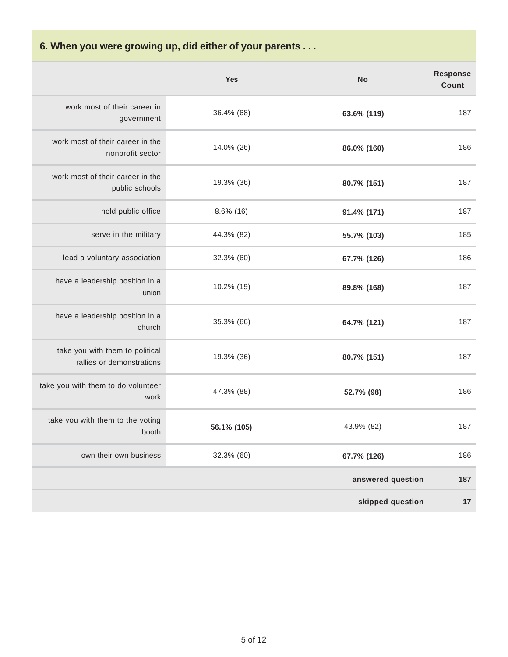**6. When you were growing up, did either of your parents . . .**

|                                                              | <b>Yes</b>   | <b>No</b>         | <b>Response</b><br>Count |
|--------------------------------------------------------------|--------------|-------------------|--------------------------|
| work most of their career in<br>government                   | 36.4% (68)   | 63.6% (119)       | 187                      |
| work most of their career in the<br>nonprofit sector         | 14.0% (26)   | 86.0% (160)       | 186                      |
| work most of their career in the<br>public schools           | 19.3% (36)   | 80.7% (151)       | 187                      |
| hold public office                                           | $8.6\%$ (16) | 91.4% (171)       | 187                      |
| serve in the military                                        | 44.3% (82)   | 55.7% (103)       | 185                      |
| lead a voluntary association                                 | 32.3% (60)   | 67.7% (126)       | 186                      |
| have a leadership position in a<br>union                     | 10.2% (19)   | 89.8% (168)       | 187                      |
| have a leadership position in a<br>church                    | 35.3% (66)   | 64.7% (121)       | 187                      |
| take you with them to political<br>rallies or demonstrations | 19.3% (36)   | 80.7% (151)       | 187                      |
| take you with them to do volunteer<br>work                   | 47.3% (88)   | 52.7% (98)        | 186                      |
| take you with them to the voting<br>booth                    | 56.1% (105)  | 43.9% (82)        | 187                      |
| own their own business                                       | 32.3% (60)   | 67.7% (126)       | 186                      |
|                                                              |              | answered question | 187                      |
|                                                              |              | skipped question  | 17                       |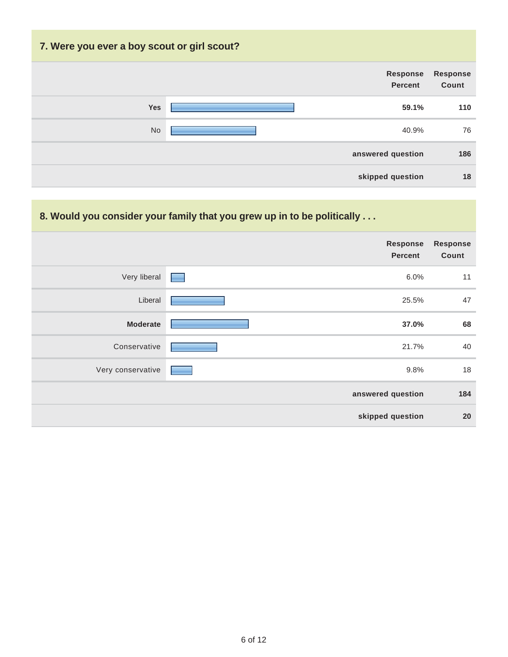# **7. Were you ever a boy scout or girl scout? Response Percent Response Count Yes 59.1% 110** No 40.9% 76 **answered question 186 skipped question 18**

#### **8. Would you consider your family that you grew up in to be politically . . .**

|                   | <b>Response</b><br><b>Percent</b> | Response<br>Count |
|-------------------|-----------------------------------|-------------------|
| Very liberal      | 6.0%<br>═                         | 11                |
| Liberal           | 25.5%                             | 47                |
| <b>Moderate</b>   | 37.0%                             | 68                |
| Conservative      | 21.7%                             | 40                |
| Very conservative | 9.8%                              | 18                |
|                   | answered question                 | 184               |
|                   | skipped question                  | 20                |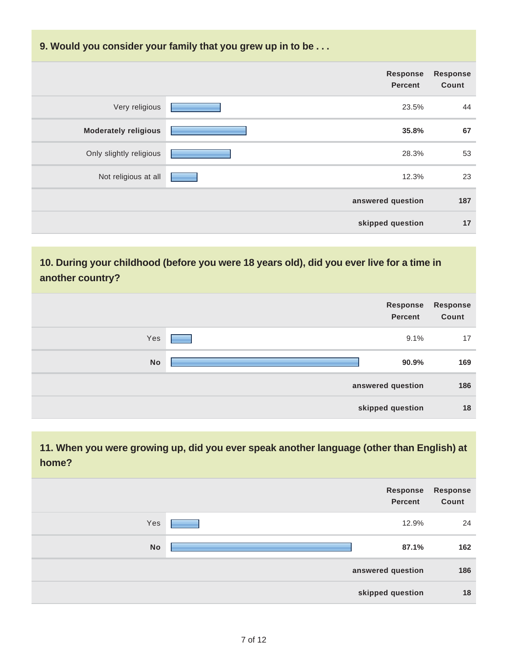#### **9. Would you consider your family that you grew up in to be . . .**

|                             | <b>Response</b><br><b>Percent</b> | <b>Response</b><br>Count |
|-----------------------------|-----------------------------------|--------------------------|
| Very religious              | 23.5%                             | 44                       |
| <b>Moderately religious</b> | 35.8%                             | 67                       |
| Only slightly religious     | 28.3%                             | 53                       |
| Not religious at all        | 12.3%                             | 23                       |
|                             | answered question                 | 187                      |
|                             | skipped question                  | 17                       |

#### **10. During your childhood (before you were 18 years old), did you ever live for a time in another country?**

|           | Response<br><b>Percent</b> | <b>Response</b><br>Count |
|-----------|----------------------------|--------------------------|
| Yes       | 9.1%                       | 17                       |
| <b>No</b> | 90.9%                      | 169                      |
|           | answered question          | 186                      |
|           | skipped question           | 18                       |

#### **11. When you were growing up, did you ever speak another language (other than English) at home?**

|           | <b>Response</b><br><b>Percent</b> | Response<br>Count |
|-----------|-----------------------------------|-------------------|
| Yes       | 12.9%                             | 24                |
| <b>No</b> | 87.1%                             | 162               |
|           | answered question                 | 186               |
|           | skipped question                  | 18                |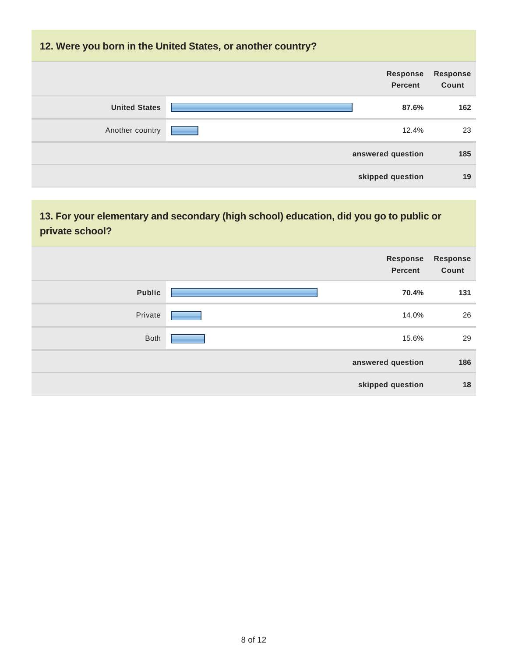#### **12. Were you born in the United States, or another country?**

|                      | <b>Response</b><br><b>Percent</b> | <b>Response</b><br>Count |
|----------------------|-----------------------------------|--------------------------|
| <b>United States</b> | 87.6%                             | 162                      |
| Another country      | 12.4%                             | 23                       |
|                      | answered question                 | 185                      |
|                      | skipped question                  | 19                       |

### **13. For your elementary and secondary (high school) education, did you go to public or private school?**

|               | Response<br><b>Percent</b> | <b>Response</b><br>Count |
|---------------|----------------------------|--------------------------|
| <b>Public</b> | 70.4%                      | 131                      |
| Private       | 14.0%                      | 26                       |
| <b>Both</b>   | 15.6%                      | 29                       |
|               | answered question          | 186                      |
|               | skipped question           | 18                       |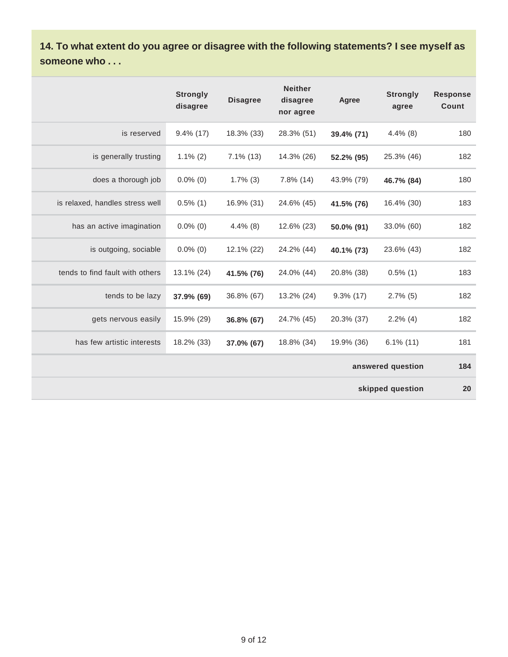**14. To what extent do you agree or disagree with the following statements? I see myself as someone who . . .**

|                                 | <b>Strongly</b><br>disagree | <b>Disagree</b> | <b>Neither</b><br>disagree<br>nor agree | Agree        | <b>Strongly</b><br>agree | <b>Response</b><br>Count |
|---------------------------------|-----------------------------|-----------------|-----------------------------------------|--------------|--------------------------|--------------------------|
| is reserved                     | $9.4\%$ (17)                | 18.3% (33)      | 28.3% (51)                              | 39.4% (71)   | $4.4\%$ (8)              | 180                      |
| is generally trusting           | $1.1\%$ (2)                 | $7.1\%$ (13)    | 14.3% (26)                              | 52.2% (95)   | 25.3% (46)               | 182                      |
| does a thorough job             | $0.0\%$ (0)                 | $1.7\%$ (3)     | $7.8\%$ (14)                            | 43.9% (79)   | 46.7% (84)               | 180                      |
| is relaxed, handles stress well | $0.5\%$ (1)                 | 16.9% (31)      | 24.6% (45)                              | 41.5% (76)   | 16.4% (30)               | 183                      |
| has an active imagination       | $0.0\%$ (0)                 | $4.4\%$ (8)     | 12.6% (23)                              | 50.0% (91)   | 33.0% (60)               | 182                      |
| is outgoing, sociable           | $0.0\%$ (0)                 | 12.1% (22)      | 24.2% (44)                              | 40.1% (73)   | 23.6% (43)               | 182                      |
| tends to find fault with others | 13.1% (24)                  | 41.5% (76)      | 24.0% (44)                              | 20.8% (38)   | $0.5\%$ (1)              | 183                      |
| tends to be lazy                | 37.9% (69)                  | 36.8% (67)      | 13.2% (24)                              | $9.3\%$ (17) | $2.7\%$ (5)              | 182                      |
| gets nervous easily             | 15.9% (29)                  | 36.8% (67)      | 24.7% (45)                              | 20.3% (37)   | $2.2\%$ (4)              | 182                      |
| has few artistic interests      | 18.2% (33)                  | 37.0% (67)      | 18.8% (34)                              | 19.9% (36)   | $6.1\%$ (11)             | 181                      |
|                                 | answered question           |                 |                                         |              |                          | 184                      |
|                                 |                             |                 |                                         |              | skipped question         | 20                       |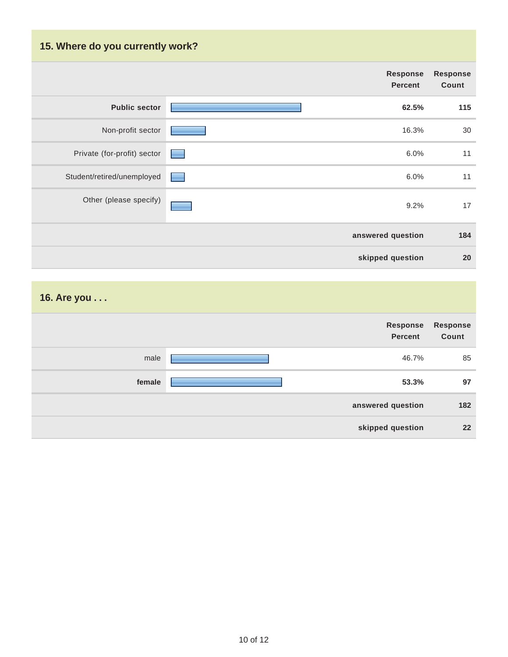## **15. Where do you currently work?**

|                             |                     | <b>Response</b><br><b>Percent</b> | <b>Response</b><br>Count |
|-----------------------------|---------------------|-----------------------------------|--------------------------|
| <b>Public sector</b>        |                     | 62.5%                             | 115                      |
| Non-profit sector           |                     | 16.3%                             | 30                       |
| Private (for-profit) sector |                     | 6.0%                              | 11                       |
| Student/retired/unemployed  | and the contract of | 6.0%                              | 11                       |
| Other (please specify)      |                     | 9.2%                              | 17                       |
|                             |                     | answered question                 | 184                      |
|                             |                     | skipped question                  | 20                       |

**16. Are you . . .**

|        | Response<br><b>Percent</b> | <b>Response</b><br>Count |
|--------|----------------------------|--------------------------|
| male   | 46.7%                      | 85                       |
| female | 53.3%                      | 97                       |
|        | answered question          | 182                      |
|        | skipped question           | 22                       |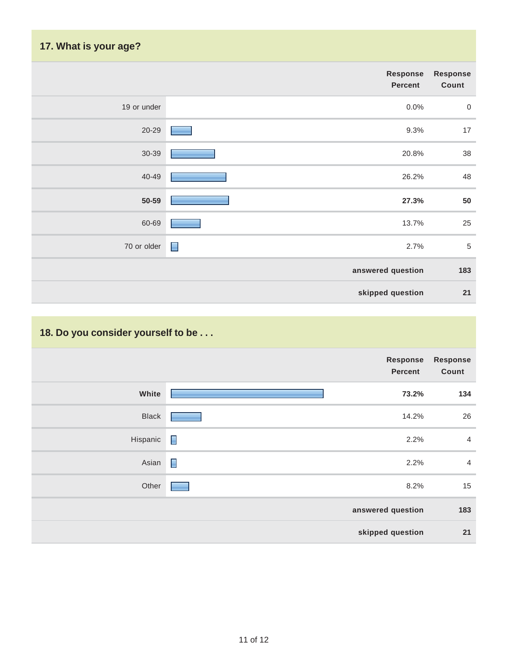# **17. What is your age?**

| Response<br>Count | Response<br><b>Percent</b> |             |
|-------------------|----------------------------|-------------|
| $\boldsymbol{0}$  | 0.0%                       | 19 or under |
| 17                | 9.3%                       | $20 - 29$   |
| 38                | 20.8%                      | 30-39       |
| 48                | 26.2%                      | 40-49       |
| 50                | 27.3%                      | 50-59       |
| 25                | 13.7%                      | 60-69       |
| $\sqrt{5}$        | 2.7%<br>$\blacksquare$     | 70 or older |
| 183               | answered question          |             |
| 21                | skipped question           |             |
|                   |                            |             |

## **18. Do you consider yourself to be . . .**

|              |                | <b>Response</b><br><b>Percent</b> | <b>Response</b><br>Count |
|--------------|----------------|-----------------------------------|--------------------------|
| White        |                | 73.2%                             | 134                      |
| <b>Black</b> |                | 14.2%                             | 26                       |
| Hispanic     | $\Box$         | 2.2%                              | $\overline{4}$           |
| Asian        | $\blacksquare$ | 2.2%                              | $\overline{4}$           |
| Other        |                | 8.2%                              | 15                       |
|              |                | answered question                 | 183                      |
|              |                | skipped question                  | 21                       |